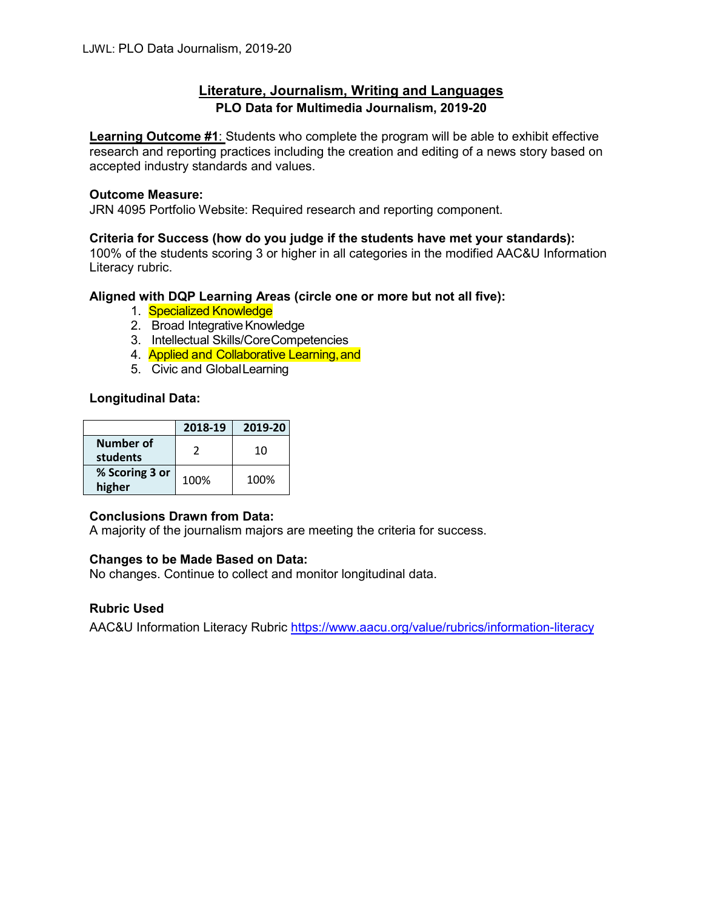# **Literature, Journalism, Writing and Languages PLO Data for Multimedia Journalism, 2019-20**

**Learning Outcome #1**: Students who complete the program will be able to exhibit effective research and reporting practices including the creation and editing of a news story based on accepted industry standards and values.

### **Outcome Measure:**

JRN 4095 Portfolio Website: Required research and reporting component.

### **Criteria for Success (how do you judge if the students have met your standards):**

100% of the students scoring 3 or higher in all categories in the modified AAC&U Information Literacy rubric.

# **Aligned with DQP Learning Areas (circle one or more but not all five):**

- 1. Specialized Knowledge
- 2. Broad Integrative Knowledge
- 3. Intellectual Skills/CoreCompetencies
- 4. Applied and Collaborative Learning, and
- 5. Civic and GlobalLearning

# **Longitudinal Data:**

|                          | 2018-19 | 2019-20 |
|--------------------------|---------|---------|
| Number of<br>students    |         | 10      |
| % Scoring 3 or<br>higher | 100%    | 100%    |

#### **Conclusions Drawn from Data:**

A majority of the journalism majors are meeting the criteria for success.

# **Changes to be Made Based on Data:**

No changes. Continue to collect and monitor longitudinal data.

# **Rubric Used**

AAC&U Information Literacy Rubric<https://www.aacu.org/value/rubrics/information-literacy>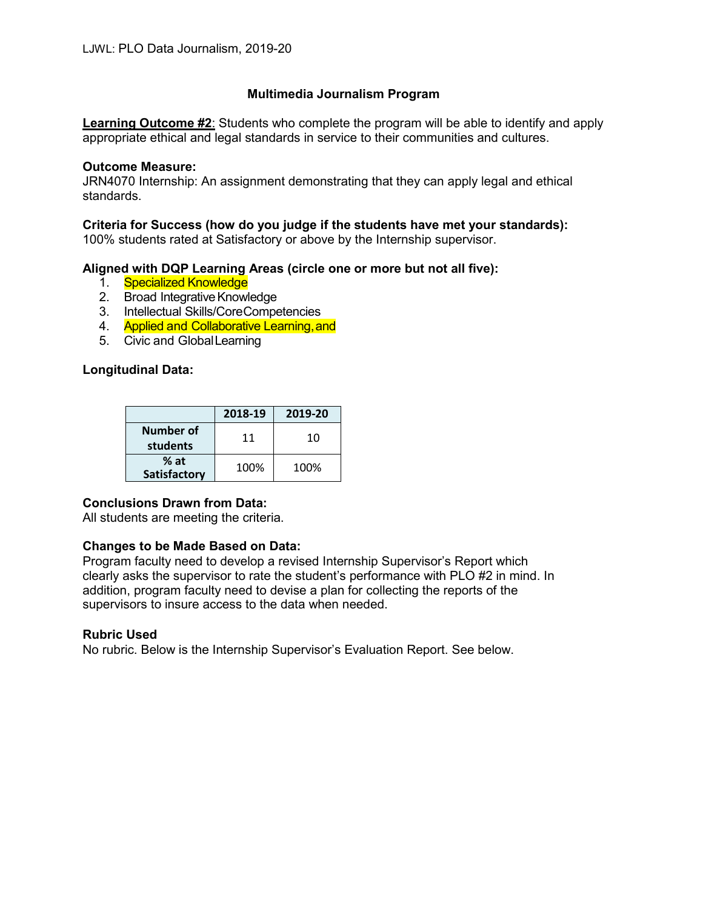# **Multimedia Journalism Program**

**Learning Outcome #2**: Students who complete the program will be able to identify and apply appropriate ethical and legal standards in service to their communities and cultures.

### **Outcome Measure:**

JRN4070 Internship: An assignment demonstrating that they can apply legal and ethical standards.

### **Criteria for Success (how do you judge if the students have met your standards):**

100% students rated at Satisfactory or above by the Internship supervisor.

### **Aligned with DQP Learning Areas (circle one or more but not all five):**

- 1. Specialized Knowledge
- 2. Broad Integrative Knowledge
- 3. Intellectual Skills/CoreCompetencies
- 4. Applied and Collaborative Learning, and
- 5. Civic and GlobalLearning

### **Longitudinal Data:**

|                               | 2018-19 | 2019-20 |
|-------------------------------|---------|---------|
| Number of<br>students         | 11      | 10      |
| $%$ at<br><b>Satisfactory</b> | 100%    | 100%    |

#### **Conclusions Drawn from Data:**

All students are meeting the criteria.

# **Changes to be Made Based on Data:**

Program faculty need to develop a revised Internship Supervisor's Report which clearly asks the supervisor to rate the student's performance with PLO #2 in mind. In addition, program faculty need to devise a plan for collecting the reports of the supervisors to insure access to the data when needed.

#### **Rubric Used**

No rubric. Below is the Internship Supervisor's Evaluation Report. See below.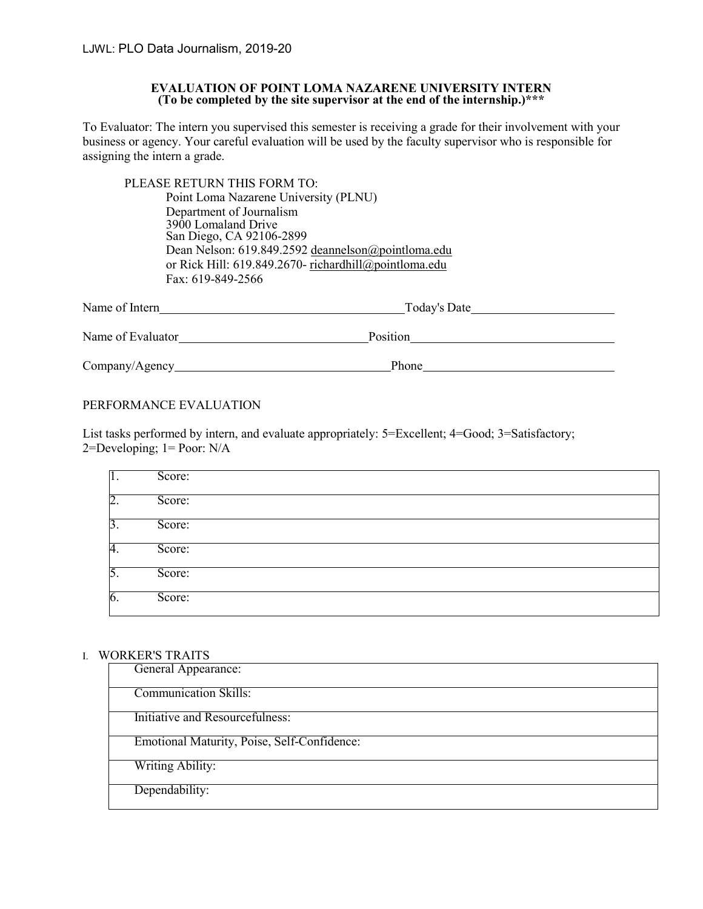#### **EVALUATION OF POINT LOMA NAZARENE UNIVERSITY INTERN (To be completed by the site supervisor at the end of the internship.)\*\*\***

To Evaluator: The intern you supervised this semester is receiving a grade for their involvement with your business or agency. Your careful evaluation will be used by the faculty supervisor who is responsible for assigning the intern a grade.

| PLEASE RETURN THIS FORM TO:                           |  |
|-------------------------------------------------------|--|
| Point Loma Nazarene University (PLNU)                 |  |
| Department of Journalism                              |  |
| 3900 Lomaland Drive                                   |  |
| San Diego, CA 92106-2899                              |  |
| Dean Nelson: 619.849.2592 deannelson@pointloma.edu    |  |
| or Rick Hill: 619.849.2670- richardhill@pointloma.edu |  |
| Fax: 619-849-2566                                     |  |
|                                                       |  |

| Name of Intern    | Today's Date |  |
|-------------------|--------------|--|
| Name of Evaluator | Position     |  |
| Company/Agency    | Phone        |  |

### PERFORMANCE EVALUATION

List tasks performed by intern, and evaluate appropriately: 5=Excellent; 4=Good; 3=Satisfactory;  $2 = Developing$ ;  $1 = Poor$ : N/A

| Π.               | Score: |
|------------------|--------|
| $\overline{2}$ . | Score: |
| $\overline{3}$ . | Score: |
| 4.               | Score: |
| 5.               | Score: |
| 6.               | Score: |

#### I. WORKER'S TRAITS

| General Appearance:                         |
|---------------------------------------------|
| <b>Communication Skills:</b>                |
| Initiative and Resourcefulness:             |
| Emotional Maturity, Poise, Self-Confidence: |
| <b>Writing Ability:</b>                     |
| Dependability:                              |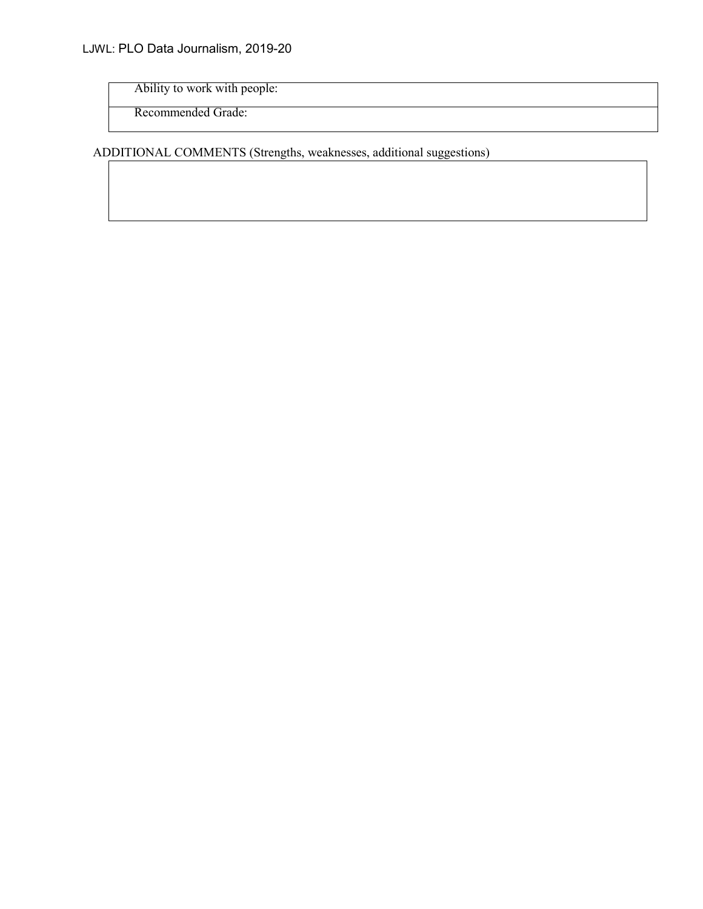Ability to work with people:

Recommended Grade:

ADDITIONAL COMMENTS (Strengths, weaknesses, additional suggestions)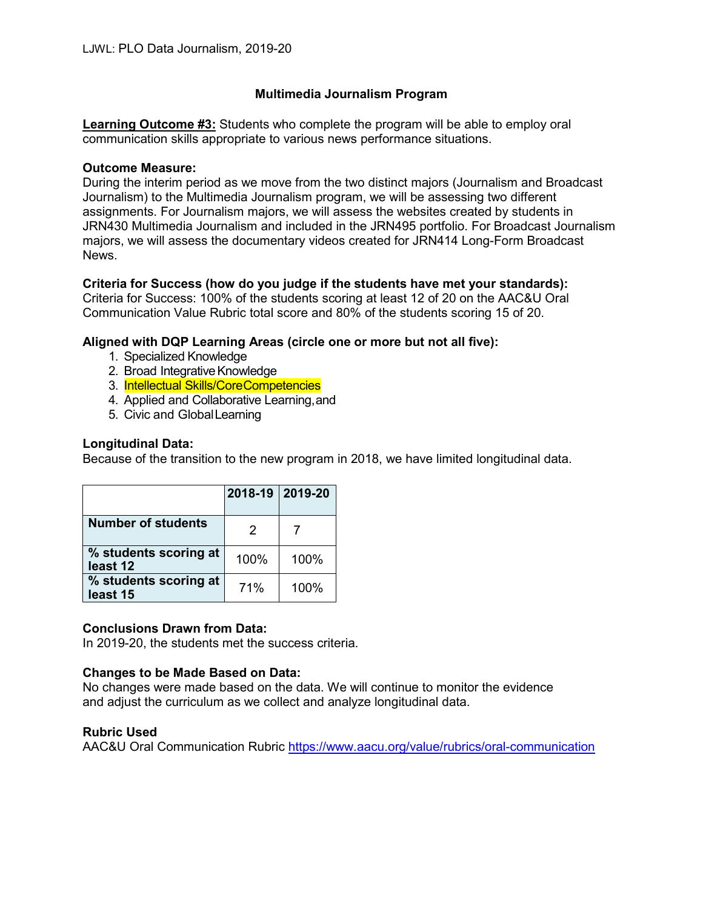# **Multimedia Journalism Program**

**Learning Outcome #3:** Students who complete the program will be able to employ oral communication skills appropriate to various news performance situations.

### **Outcome Measure:**

During the interim period as we move from the two distinct majors (Journalism and Broadcast Journalism) to the Multimedia Journalism program, we will be assessing two different assignments. For Journalism majors, we will assess the websites created by students in JRN430 Multimedia Journalism and included in the JRN495 portfolio. For Broadcast Journalism majors, we will assess the documentary videos created for JRN414 Long-Form Broadcast News.

# **Criteria for Success (how do you judge if the students have met your standards):** Criteria for Success: 100% of the students scoring at least 12 of 20 on the AAC&U Oral

Communication Value Rubric total score and 80% of the students scoring 15 of 20.

# **Aligned with DQP Learning Areas (circle one or more but not all five):**

- 1. Specialized Knowledge
- 2. Broad Integrative Knowledge
- 3. Intellectual Skills/CoreCompetencies
- 4. Applied and Collaborative Learning,and
- 5. Civic and GlobalLearning

# **Longitudinal Data:**

Because of the transition to the new program in 2018, we have limited longitudinal data.

|                                   | 2018-19 2019-20 |      |
|-----------------------------------|-----------------|------|
| <b>Number of students</b>         | 2               |      |
| % students scoring at<br>least 12 | 100%            | 100% |
| % students scoring at<br>least 15 | 71%             | 100% |

# **Conclusions Drawn from Data:**

In 2019-20, the students met the success criteria.

# **Changes to be Made Based on Data:**

No changes were made based on the data. We will continue to monitor the evidence and adjust the curriculum as we collect and analyze longitudinal data.

# **Rubric Used**

AAC&U Oral Communication Rubric<https://www.aacu.org/value/rubrics/oral-communication>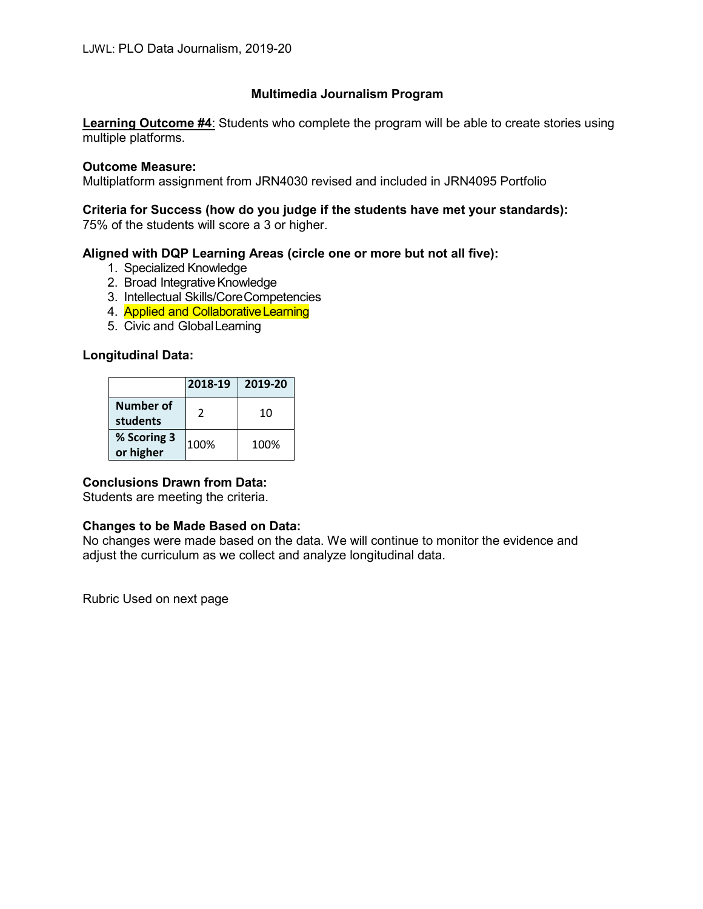# **Multimedia Journalism Program**

**Learning Outcome #4**: Students who complete the program will be able to create stories using multiple platforms.

#### **Outcome Measure:**

Multiplatform assignment from JRN4030 revised and included in JRN4095 Portfolio

# **Criteria for Success (how do you judge if the students have met your standards):**

75% of the students will score a 3 or higher.

# **Aligned with DQP Learning Areas (circle one or more but not all five):**

- 1. Specialized Knowledge
- 2. Broad Integrative Knowledge
- 3. Intellectual Skills/CoreCompetencies
- 4. **Applied and Collaborative Learning**
- 5. Civic and GlobalLearning

# **Longitudinal Data:**

| 2018-19                      |      | 2019-20 |  |
|------------------------------|------|---------|--|
| <b>Number of</b><br>students | 2    | 10      |  |
| % Scoring 3<br>or higher     | 100% | 100%    |  |

# **Conclusions Drawn from Data:**

Students are meeting the criteria.

# **Changes to be Made Based on Data:**

No changes were made based on the data. We will continue to monitor the evidence and adjust the curriculum as we collect and analyze longitudinal data.

Rubric Used on next page